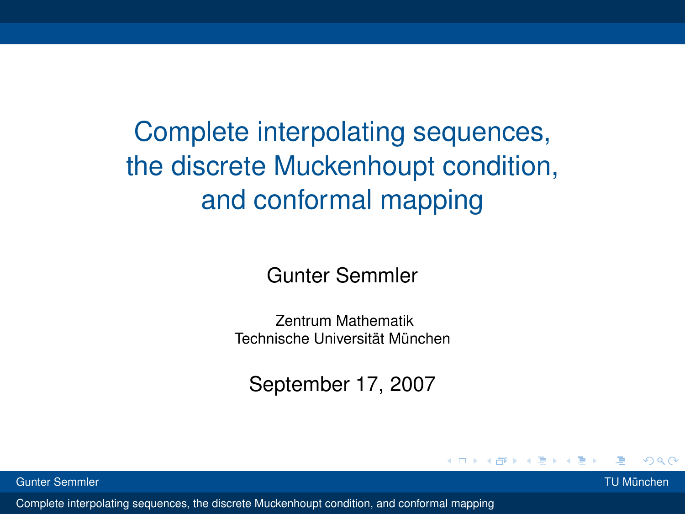Complete interpolating sequences, the discrete Muckenhoupt condition, and conformal mapping

Gunter Semmler

Zentrum Mathematik Technische Universität München

September 17, 2007

4 0 8

Gunter Semmler TU München

<span id="page-0-0"></span>

 $\Omega$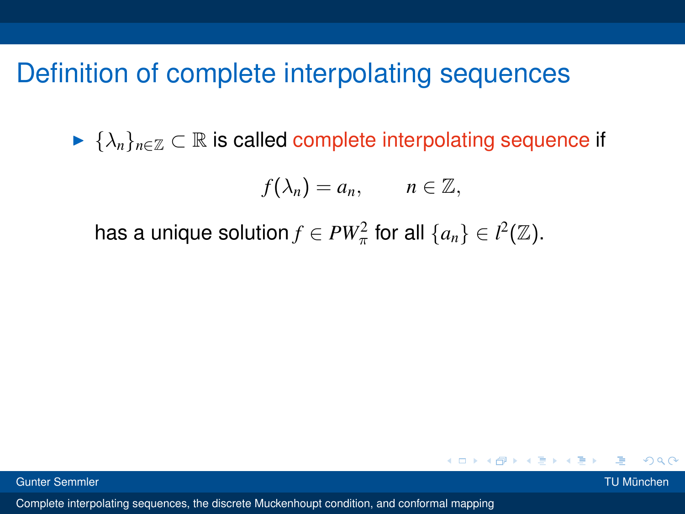#### Definition of complete interpolating sequences

 $\blacktriangleright \{\lambda_n\}_{n\in\mathbb{Z}}\subset\mathbb{R}$  is called complete interpolating sequence if

$$
f(\lambda_n)=a_n,\qquad n\in\mathbb{Z},
$$

メロトメ 倒 トメ ミトメ ミト

 $\Omega$ 

has a unique solution  $f \in PW_\pi^2$  for all  $\{a_n\} \in l^2(\mathbb{Z})$ .

Gunter Semmler TU München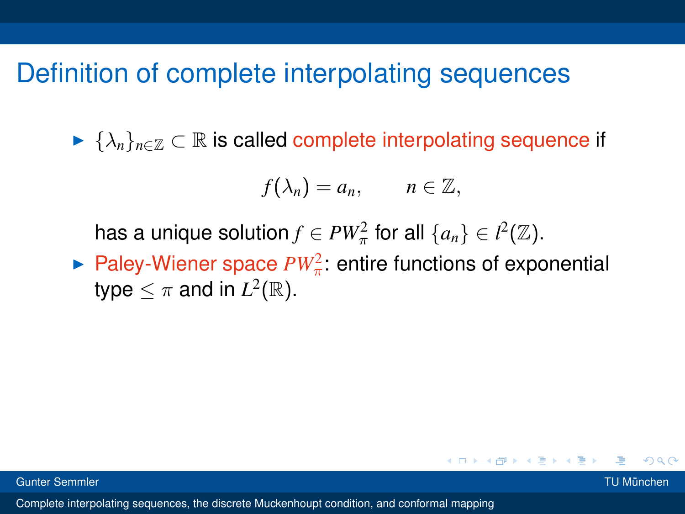#### Definition of complete interpolating sequences

 $\blacktriangleright \{\lambda_n\}_{n\in\mathbb{Z}}\subset\mathbb{R}$  is called complete interpolating sequence if

$$
f(\lambda_n)=a_n,\qquad n\in\mathbb{Z},
$$

has a unique solution  $f \in PW_\pi^2$  for all  $\{a_n\} \in l^2(\mathbb{Z})$ .

Paley-Wiener space  $PW_{\pi}^2$ : entire functions of exponential type  $\leq \pi$  and in  $L^2(\mathbb{R})$ .

つひひ

K ロ ⊁ K 倒 ≯ K ミ ⊁ K ミ ≯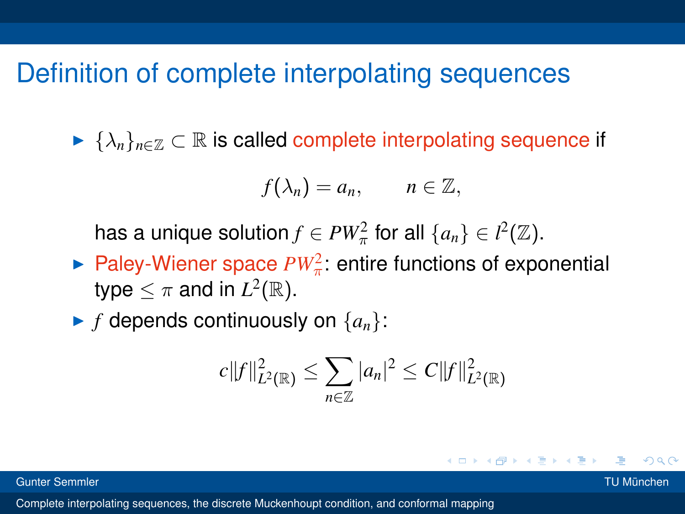#### Definition of complete interpolating sequences

 $\blacktriangleright \{\lambda_n\}_{n\in\mathbb{Z}}\subset\mathbb{R}$  is called complete interpolating sequence if

$$
f(\lambda_n)=a_n,\qquad n\in\mathbb{Z},
$$

has a unique solution  $f \in PW_\pi^2$  for all  $\{a_n\} \in l^2(\mathbb{Z})$ .

Paley-Wiener space  $PW_{\pi}^2$ : entire functions of exponential type  $\leq \pi$  and in  $L^2(\mathbb{R})$ .

 $\blacktriangleright$  *f* depends continuously on  $\{a_n\}$ :

$$
c||f||_{L^{2}(\mathbb{R})}^{2} \leq \sum_{n\in\mathbb{Z}}|a_{n}|^{2} \leq C||f||_{L^{2}(\mathbb{R})}^{2}
$$

K ロ ⊁ K 倒 ≯ K ミ ⊁ K ミ ≯

つひひ

Gunter Semmler TU München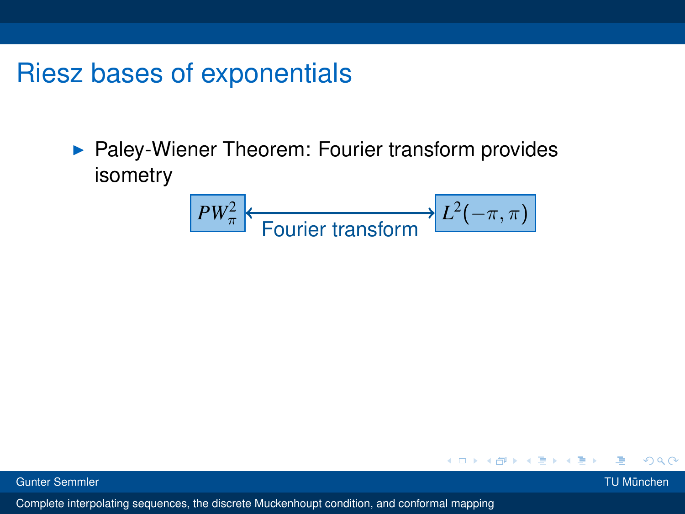# Riesz bases of exponentials

 $\blacktriangleright$  Paley-Wiener Theorem: Fourier transform provides isometry

$$
\boxed{PW_\pi^2}
$$
   
Fourier transform 
$$
L^2(-\pi,\pi)
$$

4 D.K.

Gunter Semmler TU München

医间面

 $\Omega$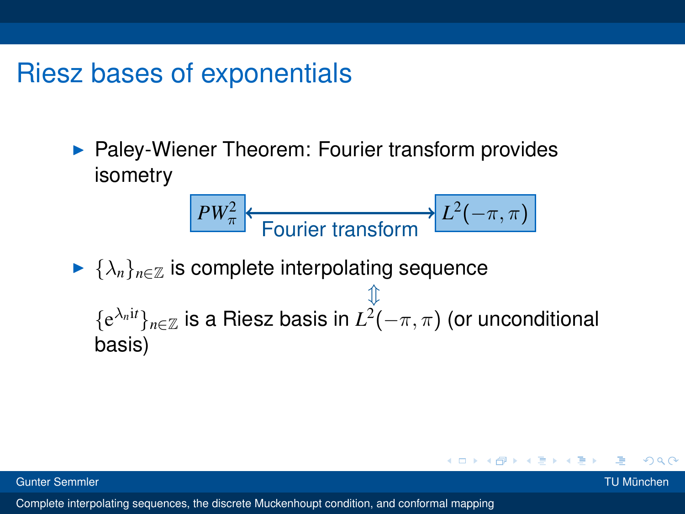## Riesz bases of exponentials

 $\blacktriangleright$  Paley-Wiener Theorem: Fourier transform provides isometry

$$
\boxed{PW_\pi^2}
$$
 Fourier transform 
$$
L^2(-\pi,\pi)
$$

 $\blacktriangleright \{\lambda_n\}_{n\in\mathbb{Z}}$  is complete interpolating sequence  $\mathbbm{1}$  ${e^{\lambda_n it}}_{n\in\mathbb{Z}}$  is a Riesz basis in  $L^2(-\pi,\pi)$  (or unconditional basis)

Gunter Semmler TU München

 $\Omega$ 

K ロ ⊁ K 倒 ≯ K ミ ⊁ K ミ ≯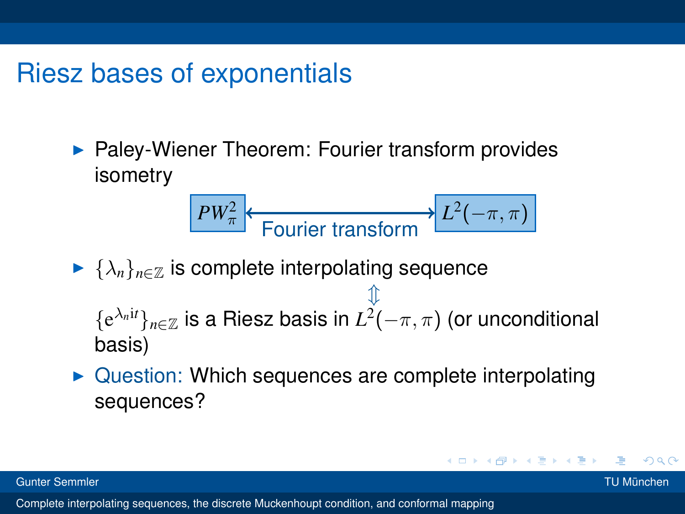## Riesz bases of exponentials

 $\blacktriangleright$  Paley-Wiener Theorem: Fourier transform provides isometry

$$
\boxed{PW_\pi^2}
$$
   
Fourier transform 
$$
L^2(-\pi,\pi)
$$

- $\blacktriangleright \{\lambda_n\}_{n\in\mathbb{Z}}$  is complete interpolating sequence  $\mathbbm{1}$  ${e^{\lambda_n it}}_{n\in\mathbb{Z}}$  is a Riesz basis in  $L^2(-\pi,\pi)$  (or unconditional basis)
- $\triangleright$  Question: Which sequences are complete interpolating sequences?

Gunter Semmler TU München

つひひ

K ロ ⊁ K 倒 ≯ K ミ ⊁ K ミ ≯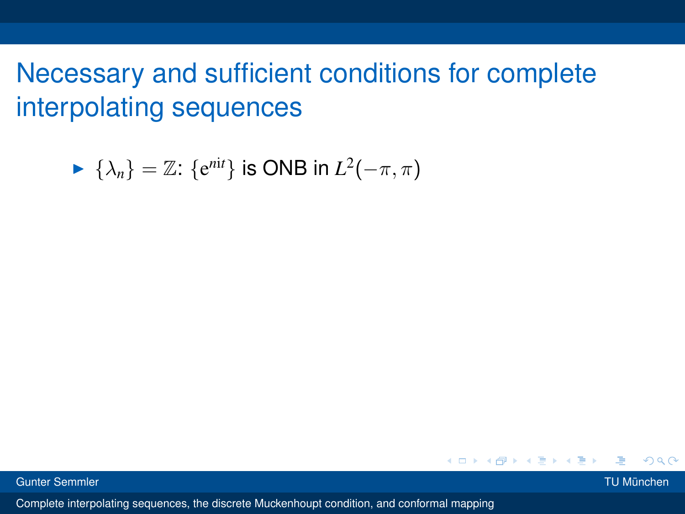$$
\blacktriangleright \{\lambda_n\} = \mathbb{Z} : \{e^{nit}\} \text{ is ONB in } L^2(-\pi, \pi)
$$

Gunter Semmler TU München

 $QQ$ 

**Bark B**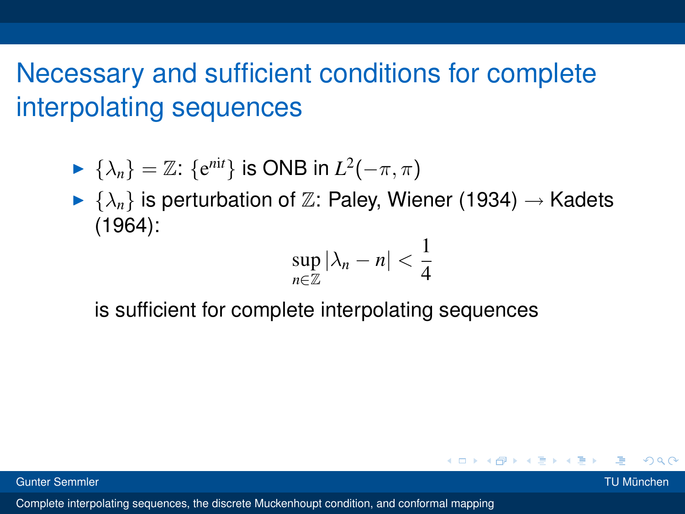- $\blacktriangleright$  { $\lambda_n$ } = ℤ: { $e^{nit}$ } is ONB in  $L^2(-\pi, \pi)$
- $\blacktriangleright \{\lambda_n\}$  is perturbation of  $\mathbb{Z}$ : Paley, Wiener (1934)  $\rightarrow$  Kadets (1964):  $\overline{1}$

$$
\sup_{n\in\mathbb{Z}}|\lambda_n-n|<\frac{1}{4}
$$

K ロ ⊁ K 倒 ≯ K ミ ⊁ K ミ ⊁

 $QQ$ 

is sufficient for complete interpolating sequences

Gunter Semmler TU München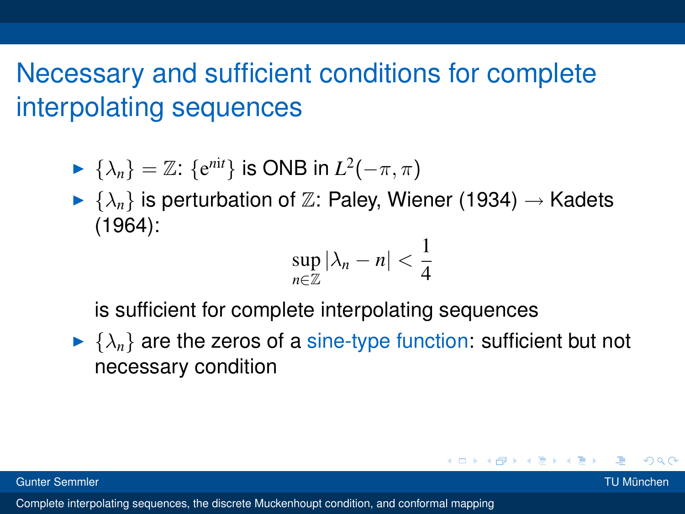- $\blacktriangleright$  { $\lambda_n$ } = ℤ: { $e^{nit}$ } is ONB in  $L^2(-\pi, \pi)$
- $\blacktriangleright \{\lambda_n\}$  is perturbation of  $\mathbb{Z}$ : Paley, Wiener (1934)  $\rightarrow$  Kadets (1964):

$$
\sup_{n\in\mathbb{Z}}|\lambda_n-n|<\frac{1}{4}
$$

is sufficient for complete interpolating sequences

 $\blacktriangleright \{\lambda_n\}$  are the zeros of a sine-type function: sufficient but not necessary condition

Gunter Semmler TU München

 $QQ$ 

メロメメ 御き メ 君 メメ 君 メー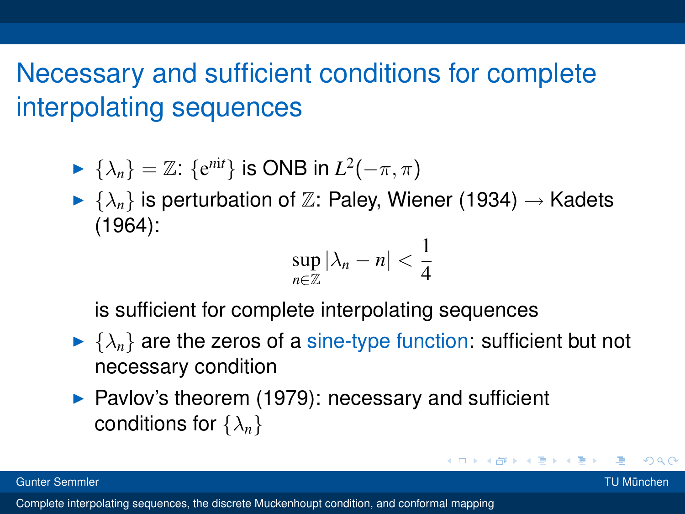- $\blacktriangleright$  { $\lambda_n$ } = ℤ: { $e^{nit}$ } is ONB in  $L^2(-\pi, \pi)$
- $\blacktriangleright \{\lambda_n\}$  is perturbation of  $\mathbb{Z}$ : Paley, Wiener (1934)  $\rightarrow$  Kadets (1964):

$$
\sup_{n\in\mathbb{Z}}|\lambda_n-n|<\frac{1}{4}
$$

is sufficient for complete interpolating sequences

- $\blacktriangleright \{\lambda_n\}$  are the zeros of a sine-type function: sufficient but not necessary condition
- $\triangleright$  Pavlov's theorem (1979): necessary and sufficient conditions for {λ*n*}

Gunter Semmler TU München

 $QQ$ 

イロメ イ団メ イヨメ イヨメー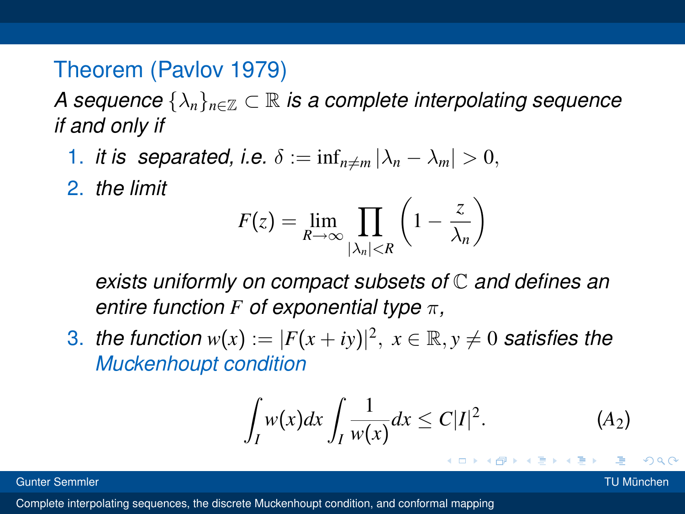#### Theorem (Pavlov 1979)

*A sequence*  $\{\lambda_n\}_{n\in\mathbb{Z}}\subset\mathbb{R}$  *is a complete interpolating sequence if and only if*

1. *it is separated, i.e.*  $\delta := \inf_{n \neq m} |\lambda_n - \lambda_m| > 0$ ,

2. *the limit*

$$
F(z) = \lim_{R \to \infty} \prod_{|\lambda_n| < R} \left( 1 - \frac{z}{\lambda_n} \right)
$$

*exists uniformly on compact subsets of* C *and defines an entire function F of exponential type* π*,*

3. *the function*  $w(x) := |F(x + iy)|^2$ ,  $x \in \mathbb{R}, y \neq 0$  satisfies the *Muckenhoupt condition*

$$
\int_{I} w(x) dx \int_{I} \frac{1}{w(x)} dx \leq C|I|^2.
$$
 (A<sub>2</sub>)

K ロ ⊁ K 倒 ≯ K ミ ⊁ K ミ ⊁

Gunter Semmler TU München

 $\Omega$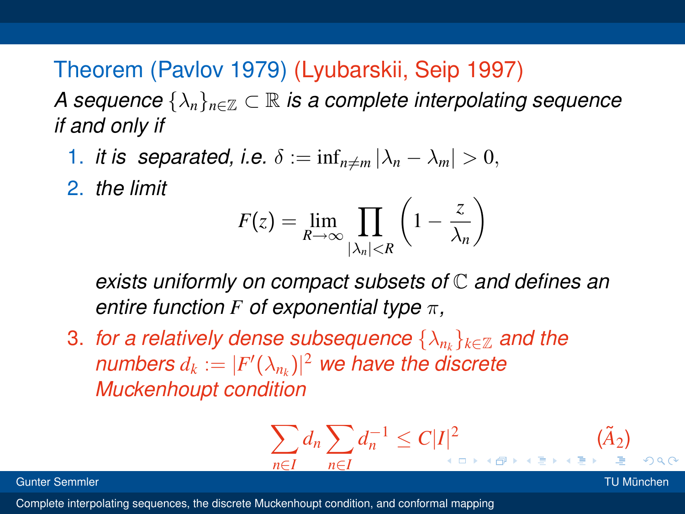Theorem (Pavlov 1979) (Lyubarskii, Seip 1997)

*A sequence*  $\{\lambda_n\}_{n\in\mathbb{Z}}\subset\mathbb{R}$  *is a complete interpolating sequence if and only if*

1. *it is separated, i.e.*  $\delta := \inf_{n \neq m} |\lambda_n - \lambda_m| > 0$ ,

2. *the limit*

$$
F(z) = \lim_{R \to \infty} \prod_{|\lambda_n| < R} \left( 1 - \frac{z}{\lambda_n} \right)
$$

*exists uniformly on compact subsets of* C *and defines an entire function F of exponential type* π*,*

3. *for a relatively dense subsequence*  $\{\lambda_{n_k}\}_{k\in\mathbb{Z}}$  *and the numbers*  $d_k := |F'(\lambda_{n_k})|^2$  we have the discrete *Muckenhoupt condition*

$$
\sum_{n\in I} d_n \sum_{n\in I} d_n^{-1} \leq C|I|^2 \qquad (\tilde{A}_2)
$$

Gunter Semmler TU München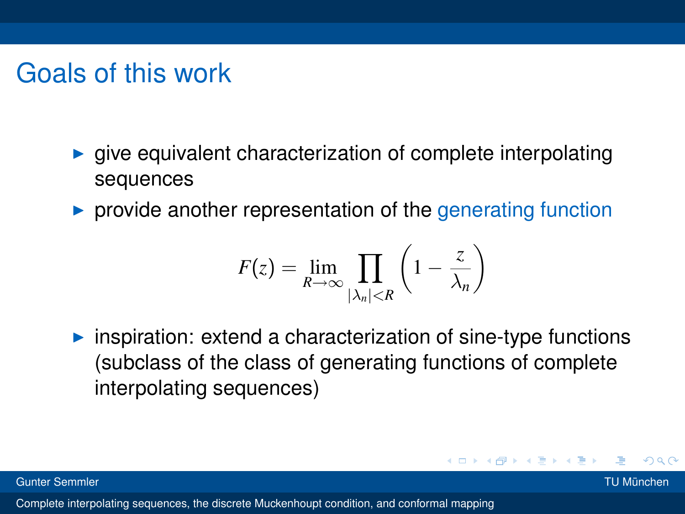# Goals of this work

- $\triangleright$  give equivalent characterization of complete interpolating sequences
- $\triangleright$  provide another representation of the generating function

$$
F(z) = \lim_{R \to \infty} \prod_{|\lambda_n| < R} \left( 1 - \frac{z}{\lambda_n} \right)
$$

 $\triangleright$  inspiration: extend a characterization of sine-type functions (subclass of the class of generating functions of complete interpolating sequences)

in the second property of the second property of the second property of the second property of the second property of the second property of the second property of the second property of the second property in the second p

つひひ

Gunter Semmler TU München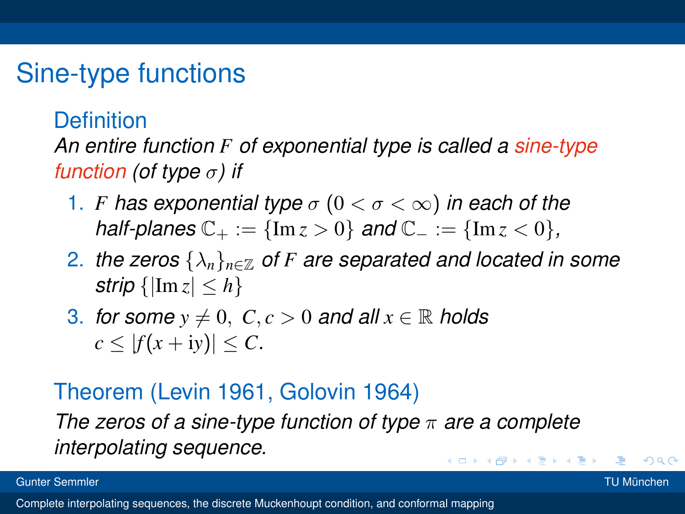# Sine-type functions

#### **Definition**

*An entire function F of exponential type is called a sine-type function (of type* σ*) if*

- 1. *F* has exponential type  $\sigma$  ( $0 < \sigma < \infty$ ) in each of the *half-planes*  $C_+ := {Im z > 0}$  *and*  $C_- := {Im z < 0}$ *,*
- 2. *the zeros*  $\{\lambda_n\}_{n\in\mathbb{Z}}$  *of F* are separated and located in some *strip*  $\{|\text{Im } z| \leq h\}$
- 3. *for some*  $y \neq 0$ ,  $C, c > 0$  *and all*  $x \in \mathbb{R}$  *holds*  $c \leq |f(x+iy)| \leq C$ .

#### Theorem (Levin 1961, Golovin 1964)

*The zeros of a sine-type function of type* π *are a complete interpolating sequence.* K ロ ⊁ K 倒 ≯ K ミ ⊁ K ミ ⊁

Gunter Semmler TU München

<span id="page-14-0"></span>

 $\Omega$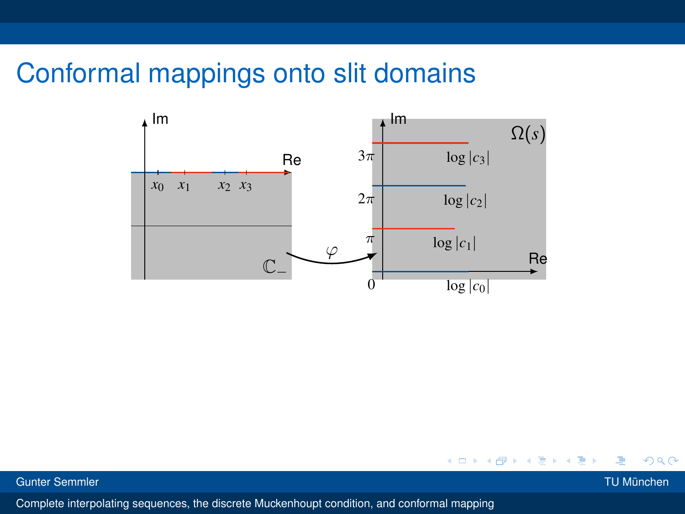## Conformal mappings onto slit domains



 $\leftarrow$   $\Box$ 

<span id="page-15-0"></span>

 $2Q$ 

Gunter Semmler TU München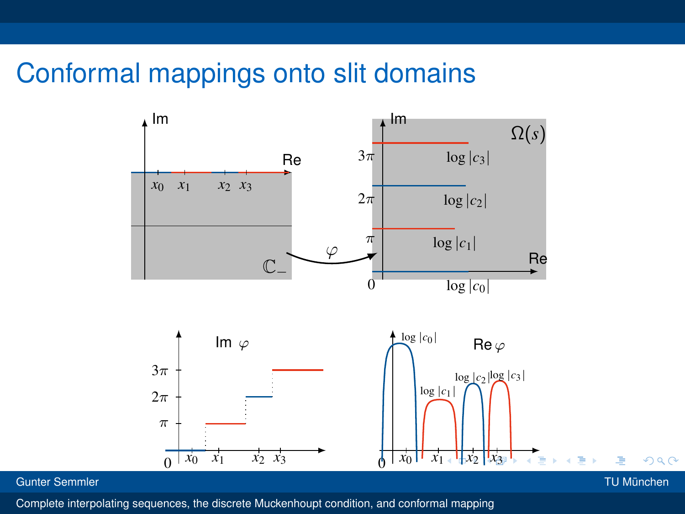## Conformal mappings onto slit domains



#### Gunter Semmler TU München

<span id="page-16-0"></span>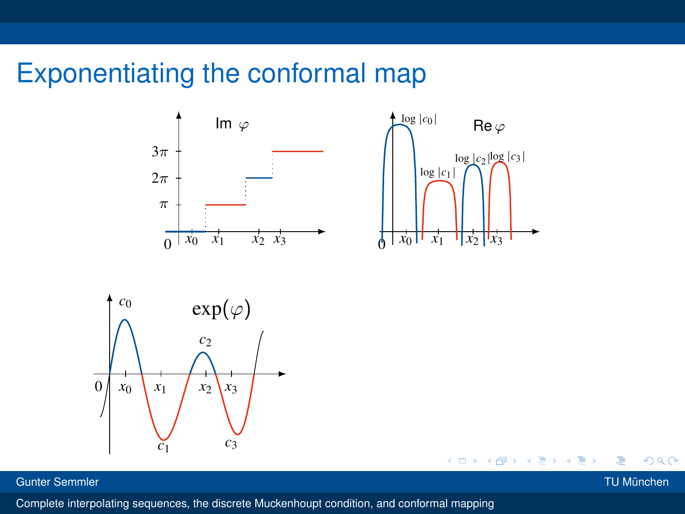# Exponentiating the conformal map





4日)



Gunter Semmler TU München

<span id="page-17-0"></span>

 $2Q$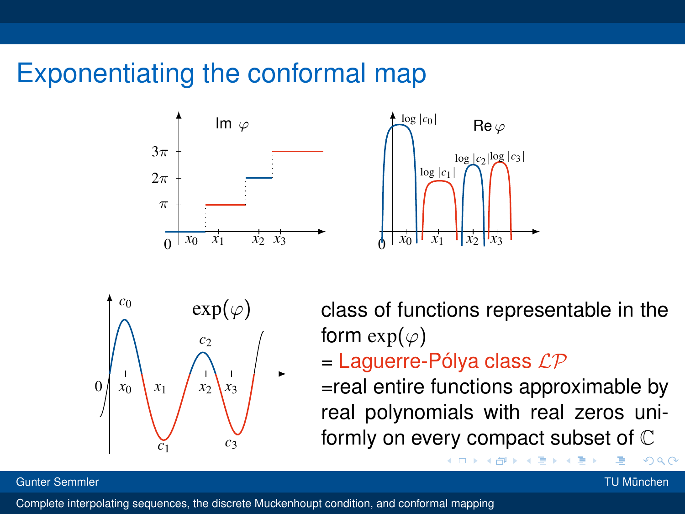# Exponentiating the conformal map







 $exp(\varphi)$  class of functions representable in the form  $exp(\varphi)$ 

 $=$  Laguerre-Pólya class  $\mathcal{LP}$ 

4 D F ∢ ⊕

formly on every compact subset of  $\mathbb C$ =real entire functions approximable by real polynomials with real zeros uni-

#### Gunter Semmler TU München

<span id="page-18-0"></span>

 $\Omega$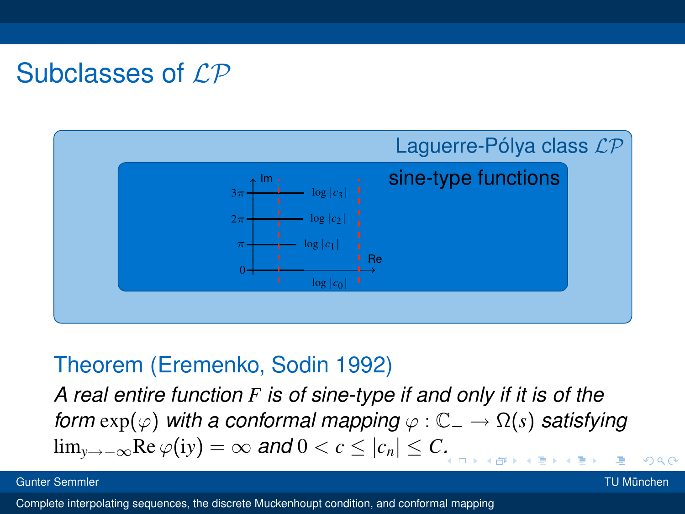# Subclasses of  $\mathcal{LP}$



#### Theorem (Eremenko, Sodin 1992)

university-logo *A real entire function F is of sine-type if and only if it is of the form*  $exp(\varphi)$  *with a conformal mapping*  $\varphi$  :  $\mathbb{C}_{-} \to \Omega(s)$  *satisfying* lim<sub>y→−∞</sub>Re  $\varphi(iy) = \infty$  and  $0 < c \le |c_n| \le C$ *[.](#page-18-0)* 

Gunter Semmler TU München

<span id="page-19-0"></span> $Q \cap$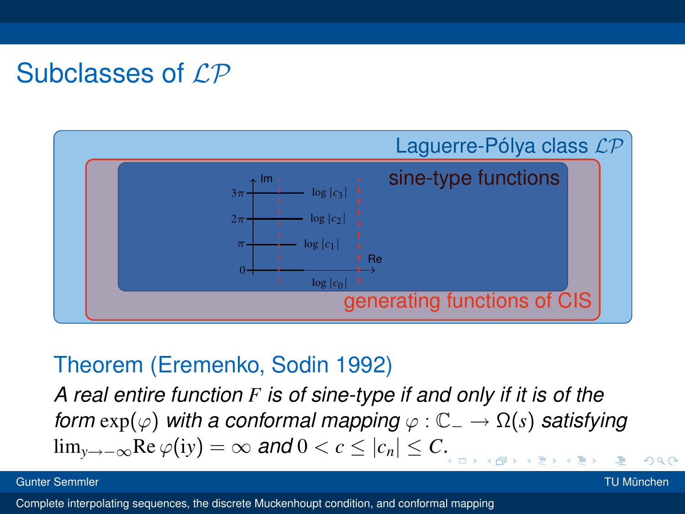# Subclasses of  $\mathcal{LP}$



#### Theorem (Eremenko, Sodin 1992)

university-logo *A real entire function F is of sine-type if and only if it is of the form*  $exp(\varphi)$  *with a conformal mapping*  $\varphi$  :  $\mathbb{C}_{-} \to \Omega(s)$  *satisfying* lim<sub>y→−∞</sub>Re  $\varphi(iy) = \infty$  and  $0 < c \le |c_n| \le C$ *[.](#page-19-0)* 

Gunter Semmler TU München

 $\alpha \cap$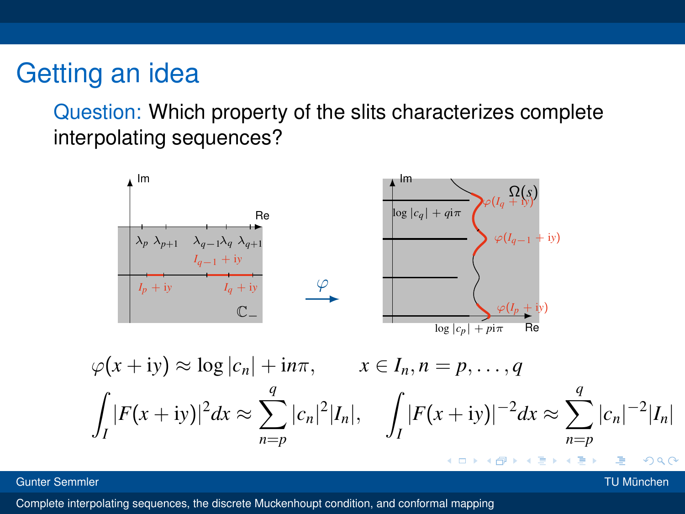### Getting an idea

Question: Which property of the slits characterizes complete interpolating sequences?



Gunter Semmler TU München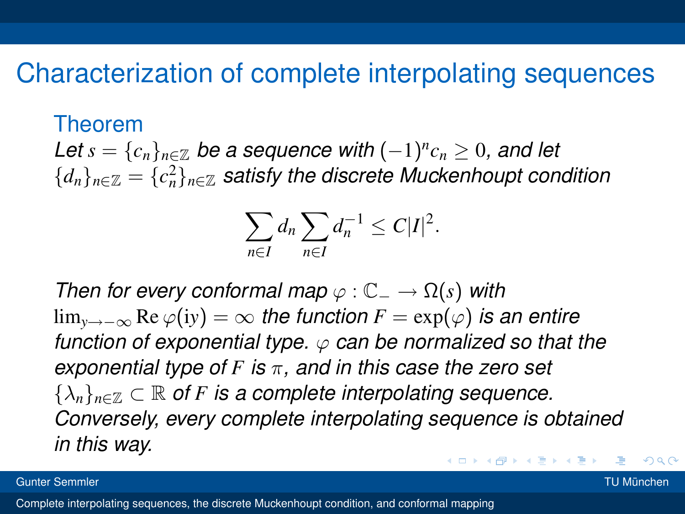#### Characterization of complete interpolating sequences

#### Theorem

 $\mathcal{L}$ et  $s = \{c_n\}_{n \in \mathbb{Z}}$  be a sequence with  $(-1)^n c_n \geq 0$ , and let  ${d_n}_{n \in \mathbb{Z}} = {c_n^2}_{n \in \mathbb{Z}}$  satisfy the discrete Muckenhoupt condition

$$
\sum_{n\in I}d_n\sum_{n\in I}d_n^{-1}\leq C|I|^2.
$$

*Then for every conformal map*  $\varphi$  :  $\mathbb{C}_{-} \to \Omega(s)$  *with* lim<sub>y→−∞</sub> Re  $\varphi(iy) = \infty$  *the function*  $F = \exp(\varphi)$  *is an entire function of exponential type.* ϕ *can be normalized so that the exponential type of F is* π*, and in this case the zero set*  $\{\lambda_n\}_{n\in\mathbb{Z}}\subset\mathbb{R}$  of F is a complete interpolating sequence. *Conversely, every complete interpolating sequence is obtained in this way.* K ロ ⊁ K 倒 ≯ K ミ ⊁ K ミ ⊁

Gunter Semmler TU München

つひひ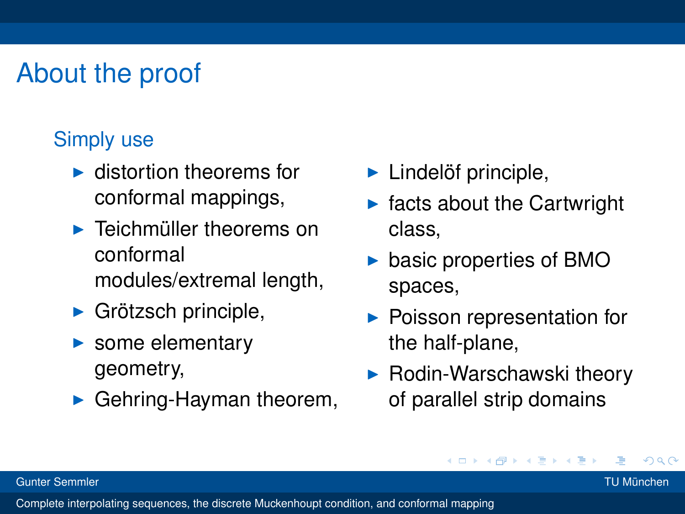# About the proof

#### Simply use

- $\blacktriangleright$  distortion theorems for conformal mappings,
- $\blacktriangleright$  Teichmüller theorems on conformal modules/extremal length,
- $\blacktriangleright$  Grötzsch principle,
- $\blacktriangleright$  some elementary geometry,
- $\blacktriangleright$  Gehring-Hayman theorem,
- $\blacktriangleright$  Lindelöf principle,
- facts about the Cartwright class,
- $\triangleright$  basic properties of BMO spaces,
- $\blacktriangleright$  Poisson representation for the half-plane,
- $\blacktriangleright$  Rodin-Warschawski theory of parallel strip domains

4 B F 4 B

Gunter Semmler TU München

つひひ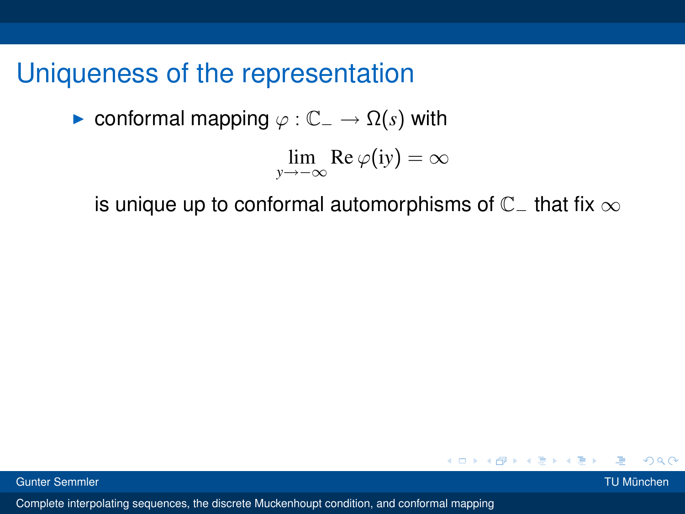$\triangleright$  conformal mapping  $\varphi : \mathbb{C}_{-} \to \Omega(s)$  with

$$
\lim_{y \to -\infty} \text{Re } \varphi(iy) = \infty
$$

is unique up to conformal automorphisms of  $\mathbb{C}^-$  that fix  $\infty$ 



 $\Omega$ 

イロト イ団 トイ ミト イヨト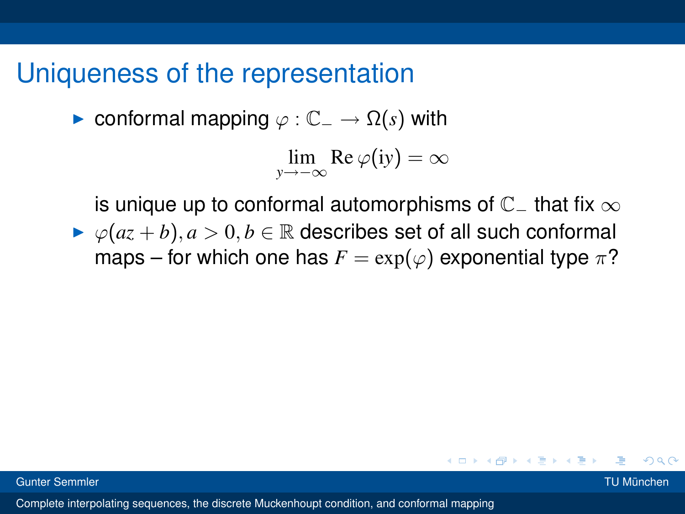$\triangleright$  conformal mapping  $\varphi$  :  $\mathbb{C}_- \to \Omega(s)$  with

$$
\lim_{y \to -\infty} \text{Re } \varphi(iy) = \infty
$$

is unique up to conformal automorphisms of  $\mathbb{C}_-$  that fix  $\infty$  $\triangleright \varphi(a z + b), a > 0, b \in \mathbb{R}$  describes set of all such conformal maps – for which one has  $F = \exp(\varphi)$  exponential type  $\pi$ ?

つへへ

K ロ ⊁ K 倒 ≯ K ミ ⊁ K ミ ≯

Gunter Semmler TU München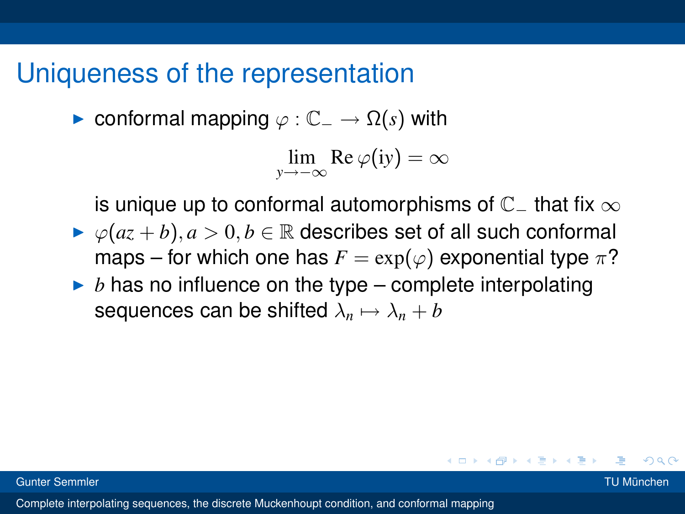$\triangleright$  conformal mapping  $\varphi$  :  $\mathbb{C}_- \to \Omega(s)$  with

$$
\lim_{y \to -\infty} \text{Re } \varphi(iy) = \infty
$$

is unique up to conformal automorphisms of  $\mathbb{C}_-$  that fix  $\infty$ 

- $\triangleright \varphi(a z + b), a > 0, b \in \mathbb{R}$  describes set of all such conformal maps – for which one has  $F = \exp(\varphi)$  exponential type  $\pi$ ?
- $\triangleright$  *b* has no influence on the type complete interpolating sequences can be shifted  $\lambda_n \mapsto \lambda_n + b$

つひひ

K ロ ⊁ K 倒 ≯ K ミ ⊁ K ミ ≯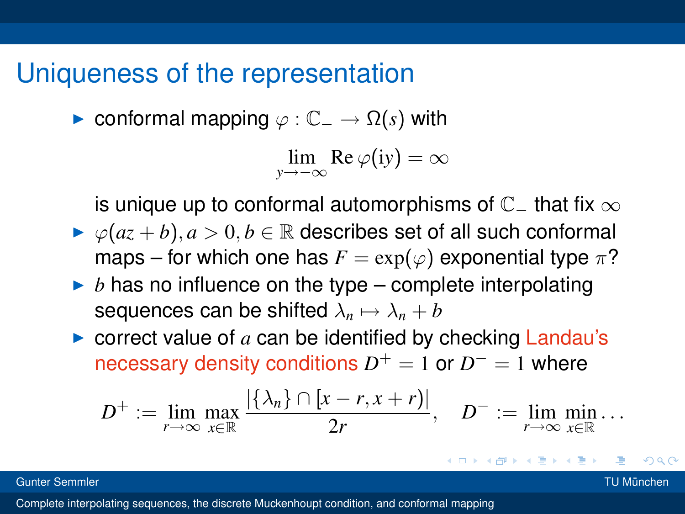$\triangleright$  conformal mapping  $\varphi$  :  $\mathbb{C}_{-} \to \Omega(s)$  with

$$
\lim_{y \to -\infty} \text{Re } \varphi(iy) = \infty
$$

is unique up to conformal automorphisms of  $\mathbb{C}_-$  that fix  $\infty$ 

- $\triangleright \varphi(a z + b), a > 0, b \in \mathbb{R}$  describes set of all such conformal maps – for which one has  $F = \exp(\varphi)$  exponential type  $\pi$ ?
- $\triangleright$  *b* has no influence on the type complete interpolating sequences can be shifted  $\lambda_n \mapsto \lambda_n + b$
- $\triangleright$  correct value of  $a$  can be identified by checking Landau's necessary density conditions  $D^+ = 1$  or  $D^- = 1$  where

$$
D^+ := \lim_{r \to \infty} \max_{x \in \mathbb{R}} \frac{|\{\lambda_n\} \cap [x-r, x+r)|}{2r}, \quad D^- := \lim_{r \to \infty} \min_{x \in \mathbb{R}} \dots
$$

Gunter Semmler TU München

つひひ

K ロ ⊁ K 倒 ≯ K ミ ⊁ K ミ ⊁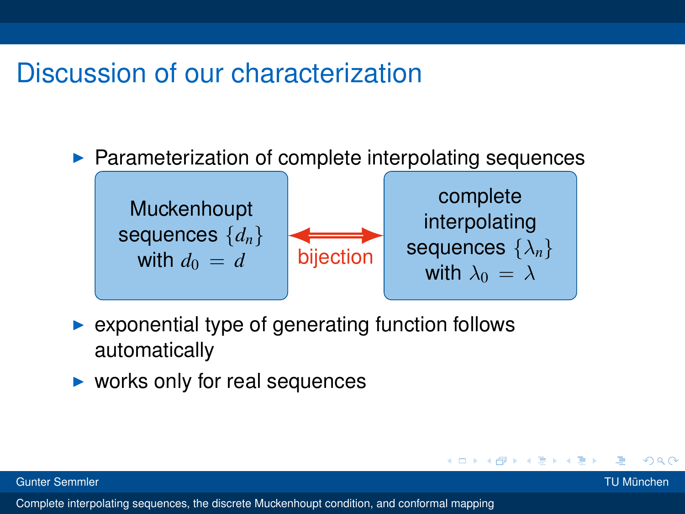# Discussion of our characterization

 $\blacktriangleright$  Parameterization of complete interpolating sequences



- exponential type of generating function follows automatically
- $\triangleright$  works only for real sequences

つひひ

医电影天真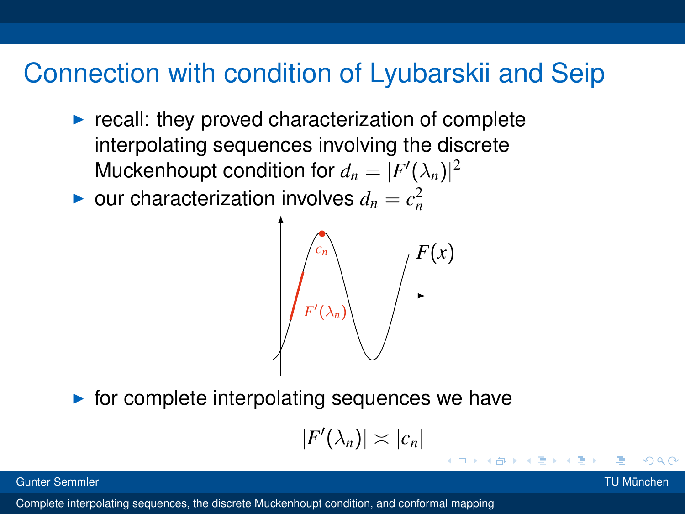# Connection with condition of Lyubarskii and Seip

- $\triangleright$  recall: they proved characterization of complete interpolating sequences involving the discrete Muckenhoupt condition for  $d_n = |F'(\lambda_n)|^2$
- $\blacktriangleright$  our characterization involves  $d_n = c_n^2$



 $\triangleright$  for complete interpolating sequences we have

$$
|F'(\lambda_n)| \asymp |c_n|
$$

4 D F

#### Gunter Semmler TU München

つひひ